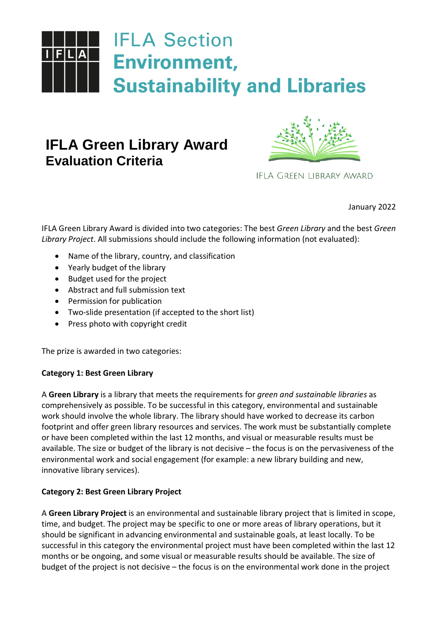

# **IFLA Green Library Award Evaluation Criteria**



IFLA GREEN LIBRARY AWARD

January 2022

IFLA Green Library Award is divided into two categories: The best *Green Library* and the best *Green Library Project*. All submissions should include the following information (not evaluated):

- Name of the library, country, and classification
- Yearly budget of the library
- Budget used for the project
- Abstract and full submission text
- Permission for publication
- Two-slide presentation (if accepted to the short list)
- Press photo with copyright credit

The prize is awarded in two categories:

# **Category 1: Best Green Library**

A **Green Library** is a library that meets the requirements for *green and sustainable libraries* as comprehensively as possible. To be successful in this category, environmental and sustainable work should involve the whole library. The library should have worked to decrease its carbon footprint and offer green library resources and services. The work must be substantially complete or have been completed within the last 12 months, and visual or measurable results must be available. The size or budget of the library is not decisive – the focus is on the pervasiveness of the environmental work and social engagement (for example: a new library building and new, innovative library services).

# **Category 2: Best Green Library Project**

A **Green Library Project** is an environmental and sustainable library project that is limited in scope, time, and budget. The project may be specific to one or more areas of library operations, but it should be significant in advancing environmental and sustainable goals, at least locally. To be successful in this category the environmental project must have been completed within the last 12 months or be ongoing, and some visual or measurable results should be available. The size of budget of the project is not decisive – the focus is on the environmental work done in the project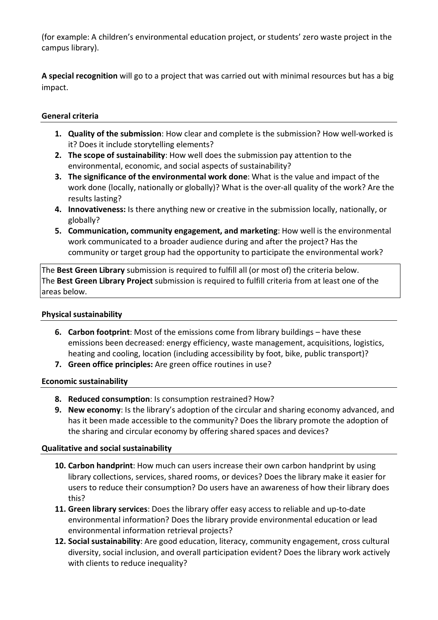(for example: A children's environmental education project, or students' zero waste project in the campus library).

**A special recognition** will go to a project that was carried out with minimal resources but has a big impact.

## **General criteria**

- **1. Quality of the submission**: How clear and complete is the submission? How well-worked is it? Does it include storytelling elements?
- **2. The scope of sustainability**: How well does the submission pay attention to the environmental, economic, and social aspects of sustainability?
- **3. The significance of the environmental work done**: What is the value and impact of the work done (locally, nationally or globally)? What is the over-all quality of the work? Are the results lasting?
- **4. Innovativeness:** Is there anything new or creative in the submission locally, nationally, or globally?
- **5. Communication, community engagement, and marketing**: How well is the environmental work communicated to a broader audience during and after the project? Has the community or target group had the opportunity to participate the environmental work?

The **Best Green Library** submission is required to fulfill all (or most of) the criteria below. The **Best Green Library Project** submission is required to fulfill criteria from at least one of the areas below.

## **Physical sustainability**

- **6. Carbon footprint**: Most of the emissions come from library buildings have these emissions been decreased: energy efficiency, waste management, acquisitions, logistics, heating and cooling, location (including accessibility by foot, bike, public transport)?
- **7. Green office principles:** Are green office routines in use?

## **Economic sustainability**

- **8. Reduced consumption**: Is consumption restrained? How?
- **9. New economy**: Is the library's adoption of the circular and sharing economy advanced, and has it been made accessible to the community? Does the library promote the adoption of the sharing and circular economy by offering shared spaces and devices?

## **Qualitative and social sustainability**

- **10. Carbon handprint**: How much can users increase their own carbon handprint by using library collections, services, shared rooms, or devices? Does the library make it easier for users to reduce their consumption? Do users have an awareness of how their library does this?
- **11. Green library services**: Does the library offer easy access to reliable and up-to-date environmental information? Does the library provide environmental education or lead environmental information retrieval projects?
- **12. Social sustainability**: Are good education, literacy, community engagement, cross cultural diversity, social inclusion, and overall participation evident? Does the library work actively with clients to reduce inequality?